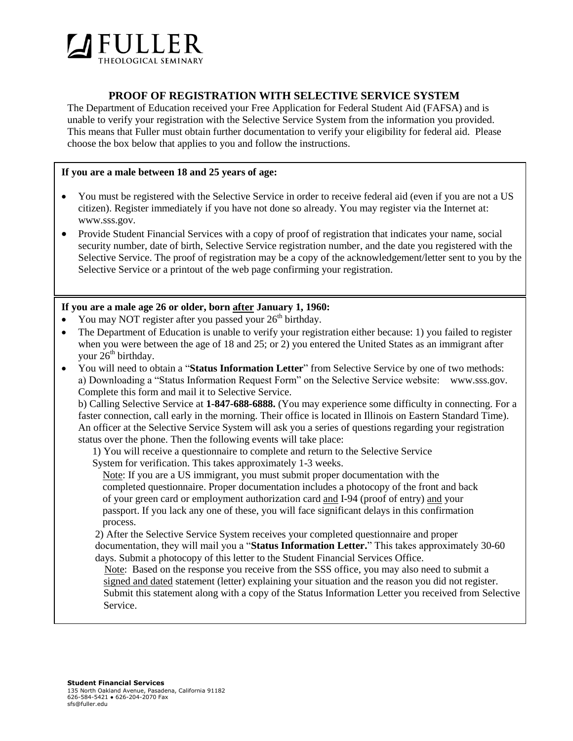

# **PROOF OF REGISTRATION WITH SELECTIVE SERVICE SYSTEM**

The Department of Education received your Free Application for Federal Student Aid (FAFSA) and is unable to verify your registration with the Selective Service System from the information you provided. This means that Fuller must obtain further documentation to verify your eligibility for federal aid. Please choose the box below that applies to you and follow the instructions.

## **If you are a male between 18 and 25 years of age:**

- You must be registered with the Selective Service in order to receive federal aid (even if you are not a US citizen). Register immediately if you have not done so already. You may register via the Internet at: [www.sss.gov.](http://www.sss.gov/)
- Provide Student Financial Services with a copy of proof of registration that indicates your name, social security number, date of birth, Selective Service registration number, and the date you registered with the Selective Service. The proof of registration may be a copy of the acknowledgement/letter sent to you by the Selective Service or a printout of the web page confirming your registration.

## **If you are a male age 26 or older, born after January 1, 1960:**

- You may NOT register after you passed your 26<sup>th</sup> birthday.
- The Department of Education is unable to verify your registration either because: 1) you failed to register when you were between the age of 18 and 25; or 2) you entered the United States as an immigrant after your  $26<sup>th</sup>$  birthday.
- You will need to obtain a "**Status Information Letter**" from Selective Service by one of two methods: a) Downloading a "Status Information Request Form" on the Selective Service website: [www.sss.gov.](http://www.sss.gov/) Complete this form and mail it to Selective Service.

b) Calling Selective Service at **1-847-688-6888.** (You may experience some difficulty in connecting. For a faster connection, call early in the morning. Their office is located in Illinois on Eastern Standard Time). An officer at the Selective Service System will ask you a series of questions regarding your registration status over the phone. Then the following events will take place:

 1) You will receive a questionnaire to complete and return to the Selective Service System for verification. This takes approximately 1-3 weeks.

 Note: If you are a US immigrant, you must submit proper documentation with the completed questionnaire. Proper documentation includes a photocopy of the front and back of your green card or employment authorization card and I-94 (proof of entry) and your passport. If you lack any one of these, you will face significant delays in this confirmation process.

2) After the Selective Service System receives your completed questionnaire and proper documentation, they will mail you a "**Status Information Letter.**" This takes approximately 30-60 days. Submit a photocopy of this letter to the Student Financial Services Office.

 Note: Based on the response you receive from the SSS office, you may also need to submit a signed and dated statement (letter) explaining your situation and the reason you did not register. Submit this statement along with a copy of the Status Information Letter you received from Selective Service.